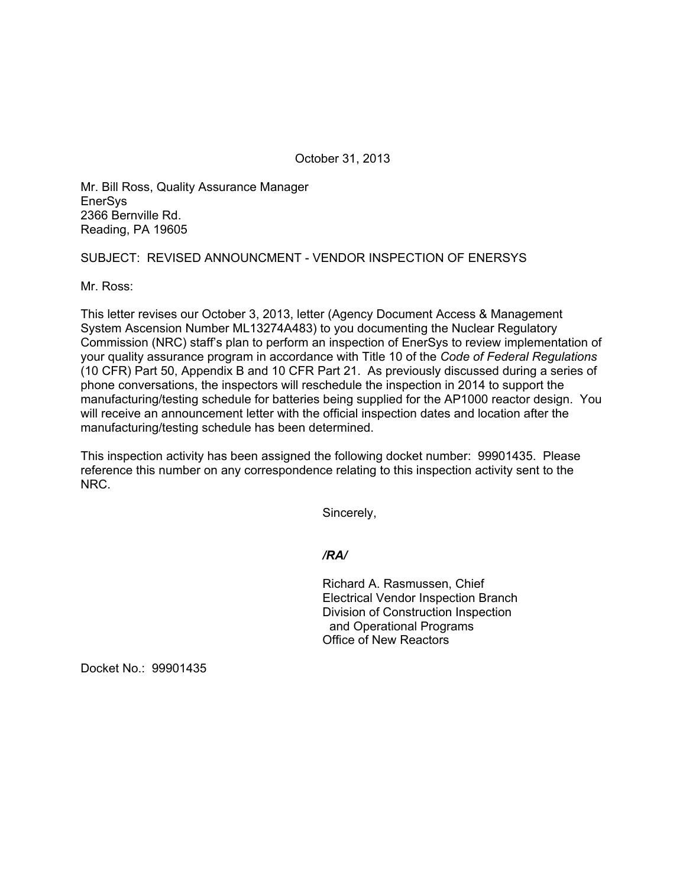October 31, 2013

Mr. Bill Ross, Quality Assurance Manager EnerSys 2366 Bernville Rd. Reading, PA 19605

## SUBJECT: REVISED ANNOUNCMENT - VENDOR INSPECTION OF ENERSYS

Mr. Ross:

This letter revises our October 3, 2013, letter (Agency Document Access & Management System Ascension Number ML13274A483) to you documenting the Nuclear Regulatory Commission (NRC) staff's plan to perform an inspection of EnerSys to review implementation of your quality assurance program in accordance with Title 10 of the *Code of Federal Regulations*  (10 CFR) Part 50, Appendix B and 10 CFR Part 21. As previously discussed during a series of phone conversations, the inspectors will reschedule the inspection in 2014 to support the manufacturing/testing schedule for batteries being supplied for the AP1000 reactor design. You will receive an announcement letter with the official inspection dates and location after the manufacturing/testing schedule has been determined.

This inspection activity has been assigned the following docket number: 99901435. Please reference this number on any correspondence relating to this inspection activity sent to the NRC.

Sincerely,

*/RA/* 

Richard A. Rasmussen, Chief Electrical Vendor Inspection Branch Division of Construction Inspection and Operational Programs Office of New Reactors

Docket No.: 99901435